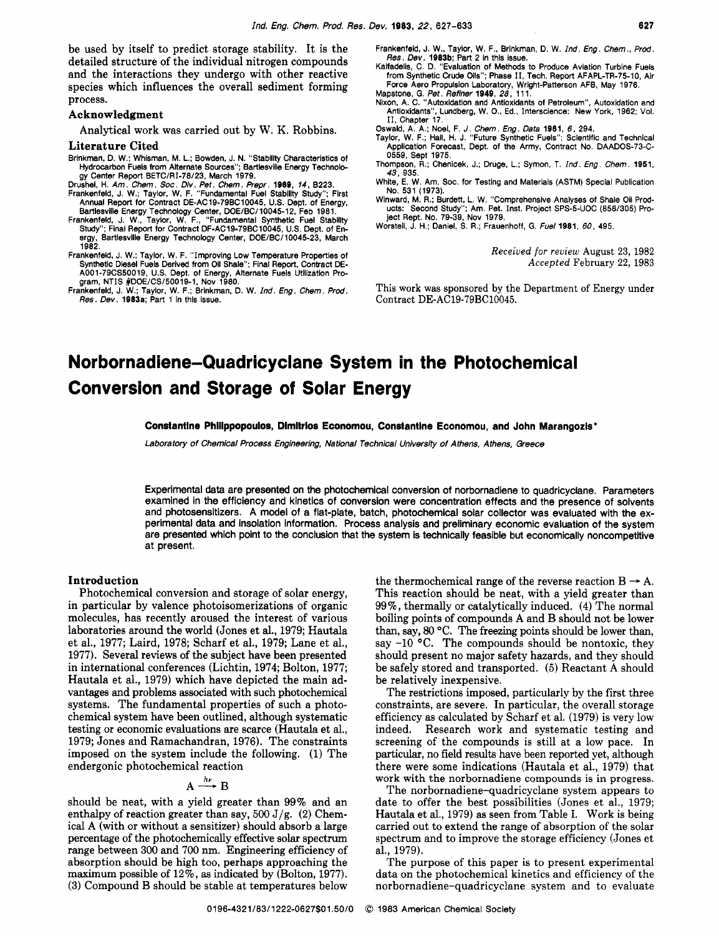be used by itself to predict storage stability. It is the detailed structure of the individual nitrogen compounds and the interactions they undergo with other reactive species which influences the overall sediment forming process.

# Acknowledgment

Analytical work was carried out by **W.** K. Robbins.

#### Literature Cited

- Brinkman, D. W.; Whisman, M. L.; Bowden, J. N. "Stability Characteristics of Hydrocarbon Fuels from Alternate Sources"; Bartlesvilie Energy Technology Center Report BETC/RI-78/23, March 1979.
- 
- Drushel, H. *Am. Chem. Soc. Div. Pet. Chem. Prepr.* **1989,** 14, 8223. Frankenfeld, J. W.; Taylor, W. F. "Fundamental Fuel Stability Study"; First Annual Report for Contract DE-AC19-79BC10045, US. Dept. of Energy,
- Bartlesville Energy Technology Center, DOE/BC/10045-12, Feb 1981. Frankenfeld, J. W., Taylor, W. F., "Fundamental Synthetic Fuel Stability Study"; Final Report for Contract DF-AC19-79BC10045, U.S. Dept. of Energy, Bartlesville Energy Technology Center, DOE/BC/10045-23, March<br>1982.
- 1982.<br>
Frankenfeld, J. W.; Taylor, W. F. "Improving Low Temperature Properties of<br>
Synthetic Diesel Fuels Derived from Oil Shale"; Final Report, Contract DE-<br>
A001-79CS50019, U.S. Dept. of Energy, Alternate Fuels Utilizati
- *Res. Dev.* 1983a; Part 1 in thls issue.
- Frankenfeld, J. W., Taylor, W. F., Brinkman, D. W. *Ind. Eng. Chem., Prod.*<br>*Res. Dev. 1983b*; Part 2 in this issue.<br>Kalfadelis, C. D. "Evaluation of Methods to Produce Aviation Turbine Fuels
- from Synthetic Crude Oils"; Phase 11, Tech. Report AFAPL-TR-75-10, Air Force Aero Propulsion Laboratory, Wright-Patterson AFB, May 1976. Mapstone, G. *Pet. Refiner* 1949, *28,* 11 1.
- Nixon, A. C. "Autoxidation and Antioxldants of Petroleum", Autoxidation and Antioxidants", Lundberg, W. O., Ed.. Interscience: New York, 1982; Vol. 11, Chapter 17.
- 
- Oswald, A. A.; Noel, F. *J. Chem. Eng. Data* **1981, 6.** 294. Taylor, W. F.; Hall, H. J. "Future Synthetic Fuels"; Scientific and Technical Application Forecast, Dept. of the Army, Contract No. DAADOS-73-C-0559, Sept 1975.
- Thompson, R.; Chenicek, J.; Druge, L.; Symon, T. *Ind. Eng. Chem.* 1951, 43,935.
- White, E. W. Am. SOC. for Testing and Materials (ASTM) Special Publication No. 531 (1973).
- Winward, M. **R.;** Burdett, L. W. "Comprehensive Analyses of Shale Oil Prod-ucts: Second Study"; Am. Pet. Inst. Project SPS-5-UOC (858/305) Pro-ject Rept. No. 79-39, Nov 1979.
- Worstell, J. H.; Daniel, **S. R.;** Frauenhoff, G. *Fuel* 1981, *60,* 495.

*Received for review* August *23,* 1982 *Accepted* February 22, 1983

This work was sponsored by the Department of Energy under Contract DE-AC19-79BC10045.

# **Norbornadiene-Quadricyclane System in the Photochemical Conversion and Storage of Solar Energy**

Constantine Philippopoulos, Dimitrios Economou, Constantine Economou, and John Marangozis\*

Laboratory of Chemical Process Engineering, National Technical University of Athens, Athens, Greece

Experimental data are presented on the photochemical conversion of norbornadiene to quadricyclane. Parameters examined in the efficiency and kinetics of conversion were concentration effects and the presence of solvents and photosensitizers. A model of a flat-plate, batch, photochemical solar collector was evaluated with the experimental data and insolation information. Process analysis and preliminary economic evaluation of the system are presented which point to the conclusion that the system is technically feasible but economically noncompetitive at present.

# Introduction

Photochemical conversion and storage of solar energy, in particular by valence photoisomerizations of organic molecules, has recently aroused the interest of various laboratories around the world (Jones et al., 1979; Hautala et al., 1977; Laird, 1978; Scharf et al., 1979; Lane et al., 1977). Several reviews of the subject have been presented in international conferences (Lichtin, 1974; Bolton, 1977; Hautala et al., 1979) which have depicted the main advantages and problems associated with such photochemical systems. The fundamental properties of such a photochemical system have been outlined, although systematic testing or economic evaluations are scarce (Hautala et al., 1979; Jones and Ramachandran, 1976). The constraints imposed on the system include the following. (1) The endergonic photochemical reaction

# $A \stackrel{h\nu}{\longrightarrow}$

should be neat, with a yield greater than 99% and an enthalpy of reaction greater than say,  $500 \text{ J/g.}$  (2) Chemical A (with or without a sensitizer) should absorb a large percentage of the photochemically effective solar spectrum range between 300 and 700 nm. Engineering efficiency of absorption should be high too, perhaps approaching the maximum possible of 12%, **as** indicated by (Bolton, 1977). **(3)** Compound B should be stable at temperatures below

the thermochemical range of the reverse reaction  $B \rightarrow A$ . This reaction should be neat, with a yield greater than 99%, thermally or catalytically induced. **(4)** The normal boiling points of compounds A and B should not be lower than, say, 80 °C. The freezing points should be lower than, say  $-10$  °C. The compounds should be nontoxic, they should present no major safety hazards, and they should be safely stored and transported. **(5)** Reactant **A** should be relatively inexpensive.

The restrictions imposed, particularly by the first three constraints, are severe. In particular, the overall storage efficiency as calculated by Scharf et al. (1979) is very low indeed. Research work and systematic testing and screening of the compounds is still at a low pace. In particular, no field results have been reported yet, although there were some indications (Hautala et al., 1979) that work with the norbornadiene compounds is in progress.

The **norbornadiene-quadricyclane** system appears to date to offer the best possibilities (Jones et al., 1979; Hautala et al., 1979) as seen from Table I. Work is being carried out to extend the range of absorption of the solar spectrum and to improve the storage efficiency (Jones et al., 1979).

The purpose of this paper is to present experimental data on the photochemical kinetics and efficiency of the **norbornadiene-quadricyclane** system and to evaluate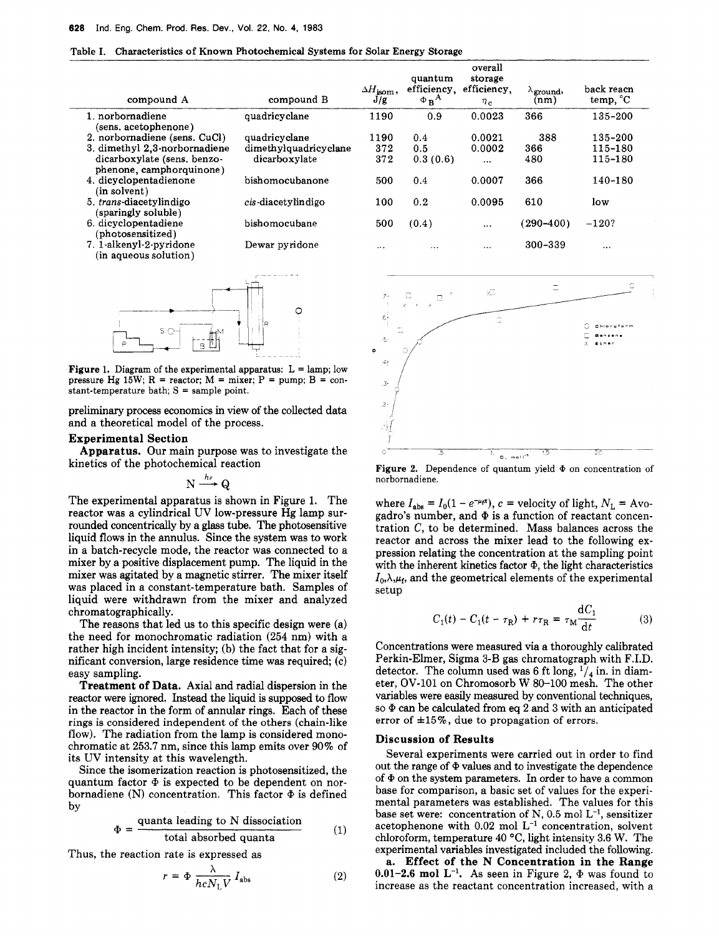|  | Table I. Characteristics of Known Photochemical Systems for Solar Energy Storage |  |  |  |  |  |  |
|--|----------------------------------------------------------------------------------|--|--|--|--|--|--|
|--|----------------------------------------------------------------------------------|--|--|--|--|--|--|

| compound A                                              | compound B            | $\Delta H_{\rm isom}$ ,<br>J/g | quantum<br>efficiency,<br>$\Phi_B^A$ | overall<br>storage<br>efficiency.<br>$n_{\rm c}$ | $\Lambda$ ground,<br>(nm) | back reacn<br>temp, °C |
|---------------------------------------------------------|-----------------------|--------------------------------|--------------------------------------|--------------------------------------------------|---------------------------|------------------------|
| 1. norbornadiene                                        | quadricyclane         | 1190                           | 0.9                                  | 0.0023                                           | 366                       | 135-200                |
| (sens. acetophenone)                                    |                       |                                |                                      |                                                  |                           |                        |
| 2. norbornadiene (sens. CuCl)                           | quadricyclane         | 1190                           | 0.4                                  | 0.0021                                           | 388                       | 135-200                |
| 3. dimethyl 2.3-norbornadiene                           | dimethylquadricyclane | 372                            | 0.5                                  | 0.0002                                           | 366                       | 115-180                |
| dicarboxylate (sens. benzo-<br>phenone, camphorquinone) | dicarboxylate         | 372                            | 0.3(0.6)                             | $\cdots$                                         | 480                       | 115-180                |
| 4. dicyclopentadienone<br>(in solvent)                  | bishomocubanone       | 500                            | 0.4                                  | 0.0007                                           | 366                       | 140-180                |
| 5. trans-diacetylindigo<br>(sparingly soluble)          | cis-diacetylindigo    | 100                            | 0.2                                  | 0.0095                                           | 610                       | low                    |
| 6. dicyclopentadiene<br>(photosensitized)               | bishomocubane         | 500                            | (0.4)                                | $\cdots$                                         | $(290 - 400)$             | $-120?$                |
| 7. 1-alkenyl-2-pyridone<br>(in aqueous solution)        | Dewar pyridone        | $\cdots$                       | $\cdots$                             | $\cdots$                                         | 300-339                   |                        |



**Figure 1.** Diagram of the experimental apparatus:  $L =$  lamp; low pressure Hg  $15W$ ;  $R =$  reactor;  $M =$  mixer;  $P =$  pump;  $B =$  constant-temperature bath;  $S =$  sample point.

preliminary process economics in view of the collected data and a theoretical model of the process.

# **Experimental Section**

kinetics of the photochemical reaction **Apparatus.** Our main purpose was to investigate the

 $N \xrightarrow{hv} Q$ 

The experimental apparatus is shown in Figure 1. The reactor was a cylindrical UV low-pressure Hg lamp surrounded concentrically by a glass tube. The photosensitive liquid flows in the annulus. Since the system was to work in a batch-recycle mode, the reactor was connected to a mixer by a positive displacement pump. The liquid in the mixer was agitated by a magnetic stirrer. The mixer itself was placed in a constant-temperature bath. Samples of liquid were withdrawn from the mixer and analyzed chromatographically.

The reasons that led us to this specific design were (a) the need for monochromatic radiation (254 nm) with a rather high incident intensity; (b) the fact that for a significant conversion, large residence time was required; (c) easy sampling.

**Treatment of Data.** Axial and radial dispersion in the reactor were ignored. Instead the liquid is supposed to flow in the reactor in the form of annular rings. Each of these rings is considered independent of the others (chain-like flow). The radiation from the lamp is considered monochromatic at 253.7 nm, since this lamp emits over 90% of its UV intensity at this wavelength.

Since the isomerization reaction is photosensitized, the quantum factor  $\Phi$  is expected to be dependent on norbornadiene (N) concentration. This factor  $\Phi$  is defined by

$$
\Phi = \frac{\text{quanta leading to N dissociation}}{\text{total absorbed quanta}} \tag{1}
$$

Thus, the reaction rate is expressed as

$$
r = \Phi \frac{\lambda}{hcN_{\rm L}V} I_{\rm abs} \tag{2}
$$



Figure **2.** Dependence of quantum yield *Q* on concentration of norbornadiene.

where  $I_{\text{abs}} = I_0(1 - e^{-\mu t})$ ,  $c$  = velocity of light,  $N_L$  = Avogadro's number, and  $\Phi$  is a function of reactant concentration C, to be determined. Mass balances across the reactor and across the mixer lead to the following expression relating the concentration at the sampling point with the inherent kinetics factor  $\Phi$ , the light characteristics  $I_0, \lambda, \mu_f$ , and the geometrical elements of the experimental setup

$$
C_1(t) - C_1(t - \tau_R) + r\tau_R = \tau_M \frac{dC_1}{dt}
$$
 (3)

Concentrations were measured via a thoroughly calibrated Perkin-Elmer, Sigma 3-B gas chromatograph with F.I.D. detector. The column used was 6 ft long,  $\frac{1}{4}$  in. in diameter, OV-101 on Chromosorb W 80-100 mesh. The other variables were easily measured by conventional techniques, so  $\Phi$  can be calculated from eq 2 and 3 with an anticipated error of  $\pm 15\%$ , due to propagation of errors.

#### **Discussion of Results**

Several experiments were carried out in order to find out the range of  $\Phi$  values and to investigate the dependence of  $\Phi$  on the system parameters. In order to have a common base for comparison, a basic set of values for the experimental parameters was established. The values for this base set were: concentration of N, **0.5** mol L-l, sensitizer acetophenone with  $0.02$  mol  $L^{-1}$  concentration, solvent chloroform, temperature 40 "C, light intensity **3.6** W. The experimental variables investigated included the following.

**a. Effect of the N Concentration in the Range 0.01-2.6 mol L<sup>-1</sup>.** As seen in Figure 2,  $\Phi$  was found to increase as the reactant concentration increased, with a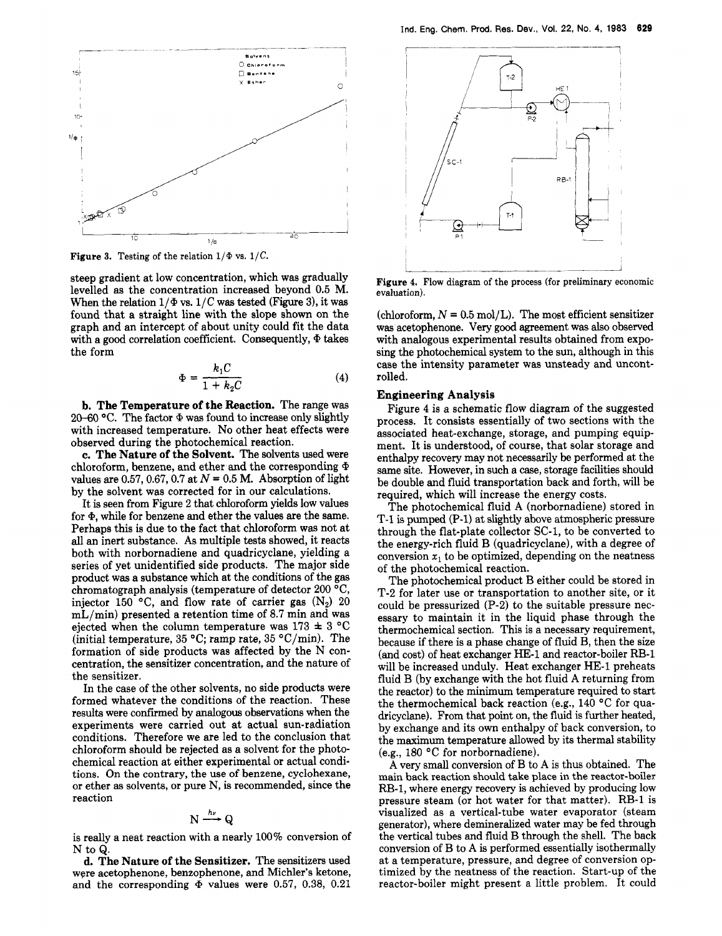

**Figure 3.** Testing of the relation  $1/\Phi$  vs.  $1/C$ .

steep gradient at low concentration, which was gradually levelled as the concentration increased beyond 0.5 M. When the relation  $1/\Phi$  vs.  $1/C$  was tested (Figure 3), it was found that a straight line with the slope shown on the graph and an intercept of about unity could fit the data with a good correlation coefficient. Consequently,  $\Phi$  takes the form

$$
\Phi = \frac{k_1 C}{1 + k_2 C} \tag{4}
$$

**b. The Temperature of the Reaction.** The range was 20-60  $^{\circ}$ C. The factor  $\Phi$  was found to increase only slightly with increased temperature. **No** other heat effects were observed during the photochemical reaction.

**c. The Nature of the Solvent.** The solvents used were chloroform, benzene, and ether **and** the corresponding values are 0.57, 0.67, 0.7 at  $N = 0.5$  M. Absorption of light by the solvent was corrected for in our calculations.

It is seen from Figure 2 that chloroform yields low values for  $\Phi$ , while for benzene and ether the values are the same. Perhaps this is due to the fact that chloroform was not at all an inert substance. As multiple tests showed, it reacts both with norbornadiene and quadricyclane, yielding a series of yet unidentified side products. The major side product was a substance which at the conditions of the gas chromatograph analysis (temperature of detector 200<sup>°</sup>C, injector 150 °C, and flow rate of carrier gas  $(N_2)$  20 mL/min) presented a retention time of **8.7** min and was ejected when the column temperature was  $173 \pm 3$  °C (initial temperature,  $35 \text{ °C}$ ; ramp rate,  $35 \text{ °C/min}$ ). The formation of side products was affected by the N concentration, the sensitizer concentration, and the nature of the sensitizer.

In the case of the other solvents, no side products were formed whatever the conditions of the reaction. These results were confirmed by analogous observations when the experiments were carried out at actual sun-radiation conditions. Therefore we are led to the conclusion that chloroform should be rejected as a solvent for the photochemical reaction at either experimental or actual conditions. On the contrary, the use of benzene, cyclohexane, **or** ether **as** solvents, or pure **N,** is recommended, since the reaction

# $N \xrightarrow{h\nu} Q$

is really a neat reaction with a nearly 100% conversion of N to Q.

**d. The Nature of the Sensitizer.** The sensitizers used were acetophenone, benzophenone, and Michler's ketone, and the corresponding @ values were **0.57,** 0.38, 0.21



**Figure 4.** Flow diagram of the process (for preliminary economic evaluation).

(chloroform,  $N = 0.5$  mol/L). The most efficient sensitizer was acetophenone. Very good agreement was **also** observed with analogous experimental results obtained from exposing the photochemical system to the sun, although in this case the intensity parameter was unsteady and uncontrolled.

### **Engineering Analysis**

Figure **4** is a schematic flow diagram of the suggested process. It consists essentially of two sections with the associated heat-exchange, storage, and pumping equipment. It is understood, of course, that solar storage and enthalpy recovery may not necessarily be performed at the same site. However, in such a case, storage facilities should be double and fluid transportation back and forth, will be required, which will increase the energy costs.

The photochemical fluid **A** (norbornadiene) stored in T-1 is pumped (P-1) at slightly above atmospheric pressure through the flat-plate collector SC-1, to be converted to the energy-rich fluid B (quadricyclane), with a degree of conversion  $x_1$  to be optimized, depending on the neatness of the photochemical reaction.

The photochemical product B either could be stored in T-2 for later use or transportation to another site, or it could be pressurized (P-2) to the suitable pressure necessary to maintain it in the liquid phase through the thermochemical section. This is a necessary requirement, because if there is a phase change of fluid B, then the size (and cost) of heat exchanger HE-1 and reactor-boiler RB-1 will be increased unduly. Heat exchanger HE-1 preheats fluid B (by exchange with the hot fluid **A** returning from the reactor) to the minimum temperature required to start the thermochemical back reaction (e.g., 140 °C for quadricyclane). From that point on, the fluid is further heated, by exchange and its own enthalpy of back conversion, to the maximum temperature allowed by its thermal stability (e.g., 180 "C for norbornadiene).

**A** very small conversion of B to A is thus obtained. The main back reaction should take place in the reactor-boiler RB-1, where energy recovery is achieved by producing low pressure steam (or hot water for that matter). RB-1 is visualized as a vertical-tube water evaporator (steam generator), where demineralized water may be fed through the vertical tubes and fluid B through the shell. The back conversion of B to **A** is performed essentially isothermally at a temperature, pressure, and degree of conversion optimized by the neatness of the reaction. Start-up of the reactor-boiler might present a little problem. It could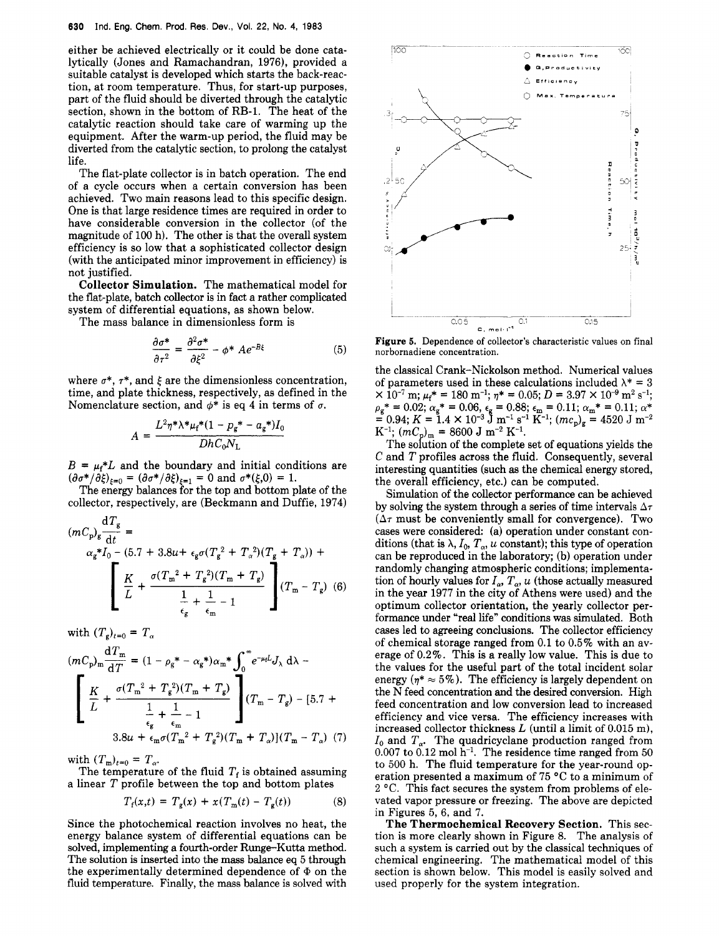either be achieved electrically or it could be done catalytically (Jones and Ramachandran, 1976), provided a suitable catalyst is developed which starts the back-reaction, at room temperature. Thus, for start-up purposes, part of the fluid should be diverted through the catalytic section, shown in the bottom of RB-1. The heat of the catalytic reaction should take care of warming up the equipment. After the warm-up period, the fluid may be diverted from the catalytic section, to prolong the catalyst life.

The flat-plate collector is in batch operation. The end of a cycle occurs when a certain conversion has been achieved. Two main reasons lead to this specific design. One is that large residence times are required in order to have considerable conversion in the collector (of the magnitude of 100 h). The other is that the overall system efficiency is so low that a sophisticated collector design (with the anticipated minor improvement in efficiency) is not justified.

**Collector Simulation.** The mathematical model for the flat-plate, batch collector is in fact a rather complicated system of differential equations, as shown below.

The mass balance in dimensionless form is

$$
\frac{\partial \sigma^*}{\partial \tau^2} = \frac{\partial^2 \sigma^*}{\partial \xi^2} - \phi^* A e^{-B\xi}
$$
 (5)

where  $\sigma^*$ ,  $\tau^*$ , and  $\xi$  are the dimensionless concentration, time, and plate thickness, respectively, as defined in the Nomenclature section, and  $\phi^*$  is eq 4 in terms of  $\sigma$ .

$$
A = \frac{L^2 \eta^* \lambda^* \mu_f^* (1 - p_g^* - a_g^*) I_0}{D h C_0 N_L}
$$

 $B = \mu_f * L$  and the boundary and initial conditions are  $(\partial \sigma^*/\partial \xi)_{\xi=0} = (\partial \sigma^*/\partial \xi)_{\xi=1} = 0$  and  $\sigma^*(\xi,0) = 1$ .

collector, respectively, are (Beckmann and Duffie, 1974)

The energy balances for the top and bottom plate of the  
\ncollector, respectively, are (Beckmann and Duffie, 1974)  
\n
$$
(mC_p)_g \frac{dT_g}{dt} = \alpha_g * I_0 - (5.7 + 3.8u + \epsilon_g \sigma (T_g^2 + T_a^2) (T_g + T_a)) +
$$
\n
$$
\left[ \frac{K}{L} + \frac{\sigma (T_m^2 + T_g^2) (T_m + T_g)}{\frac{1}{\epsilon_g} + \frac{1}{\epsilon_m} - 1} \right] (T_m - T_g) \tag{6}
$$

with  $(T_g)_{t=0} = T_g$ 

 $\overline{1}$ 

$$
(mC_{\rm p})_{\rm m} \frac{dT_{\rm m}}{dT} = (1 - \rho_{\rm g}^* - \alpha_{\rm g}^*) \alpha_{\rm m}^* \int_0^{\infty} e^{-\mu_{\rm f} L} J_{\lambda} d\lambda -
$$
  

$$
\left[ \frac{K}{L} + \frac{\sigma (T_{\rm m}^2 + T_{\rm g}^2)(T_{\rm m} + T_{\rm g})}{\frac{1}{\epsilon_{\rm g}} + \frac{1}{\epsilon_{\rm m}} - 1} \right] (T_{\rm m} - T_{\rm g}) - [5.7 +
$$
  

$$
3.8u + \epsilon_{\rm m} \sigma (T_{\rm m}^2 + T_{\rm g}^2)(T_{\rm m} + T_{\alpha})](T_{\rm m} - T_{\alpha}) \tag{7}
$$

with  $(T_m)_{t=0} = T_\alpha$ .

The temperature of the fluid  $T_f$  is obtained assuming a linear *T* profile between the top and bottom plates

$$
T_{\rm f}(x,t) = T_{\rm g}(x) + x(T_{\rm m}(t) - T_{\rm g}(t)) \tag{8}
$$

Since the photochemical reaction involves no heat, the energy balance system of differential equations can be solved, implementing a fourth-order Runge-Kutta method. The solution is inserted into the mass balance eq 5 through the experimentally determined dependence of  $\Phi$  on the fluid temperature. Finally, the mass balance is solved with



Figure **5.** Dependence of collector's characteristic values on final norbornadiene concentration.

the classical Crank-Nickolson method. Numerical values of parameters used in these calculations included  $\lambda^* = 3$  $\times$  10<sup>-7</sup> m;  $\mu_f$ <sup>\*</sup> = 180 m<sup>-1</sup>;  $\eta$ <sup>\*</sup> = 0.05; D = 3.97  $\times$  10<sup>-9</sup> m<sup>2</sup> s<sup>-1</sup>;  $\rho_{\rm g}$ \* = 0.02;  $\alpha_{\rm g}$ \* = 0.06,  $\epsilon_{\rm g}$  = 0.88;  $\epsilon_{\rm m}$  = 0.11;  $\alpha_{\rm m}$ \* = 0.11;  $\alpha$ \*  $= 0.94; K = 1.4 \times 10^{-3} \text{ J m}^{-1} \text{ s}^{-1} \text{ K}^{-1}; (mc_p)_{\text{g}} = 4520 \text{ J m}^{-2}$  $K^{-1}$ ;  $(mC_p)_{m} = 8600$  J  $m^{-2}$   $K^{-1}$ .

The sofution of the complete set of equations yields the *C* and *T* profiles across the fluid. Consequently, several interesting quantities (such **as** the chemical energy stored, the overall efficiency, etc.) can be computed.

Simulation of the collector performance can be achieved by solving the system through a series of time intervals  $\Delta \tau$  $(\Delta \tau$  must be conveniently small for convergence). Two cases were considered: (a) operation under constant conditions (that is  $\lambda$ ,  $I_0$ ,  $T_\alpha$ ,  $u$  constant); this type of operation can be reproduced in the laboratory; (b) operation under randomly changing atmospheric conditions; implementation of hourly values for  $I_{\alpha}$ ,  $T_{\alpha}$ ,  $u$  (those actually measured in the year 1977 in the city of Athens were used) and the optimum collector orientation, the yearly collector performance under "real life" conditions was simulated. Both cases led to agreeing conclusions. The collector efficiency of chemical storage ranged from 0.1 to 0.5% with an average of 0.2%. This is a really low value. This is due to the values for the useful part of the total incident solar energy  $(\eta^* \approx 5\%)$ . The efficiency is largely dependent on the N feed concentration and the desired conversion. High feed concentration and low conversion lead to increased efficiency and vice versa. The efficiency increases with increased collector thickness *L* (until a limit of 0.015 m),  $I_0$  and  $T_a$ . The quadricyclane production ranged from  $0.007$  to  $0.12$  mol h<sup>-1</sup>. The residence time ranged from 50 to 500 h. The fluid temperature for the year-round operation presented a maximum of 75 **"C** to a minimum of 2 "C. This fact secures the system from problems of elevated vapor pressure or freezing. The above are depicted in Figures 5, 6, and 7.

**The Thermochemical Recovery Section.** This section is more clearly shown in Figure 8. The analysis of such a system is carried out by the classical techniques of chemical engineering. The mathematical model of this section is shown below. This model is easily solved and used properly for the system integration.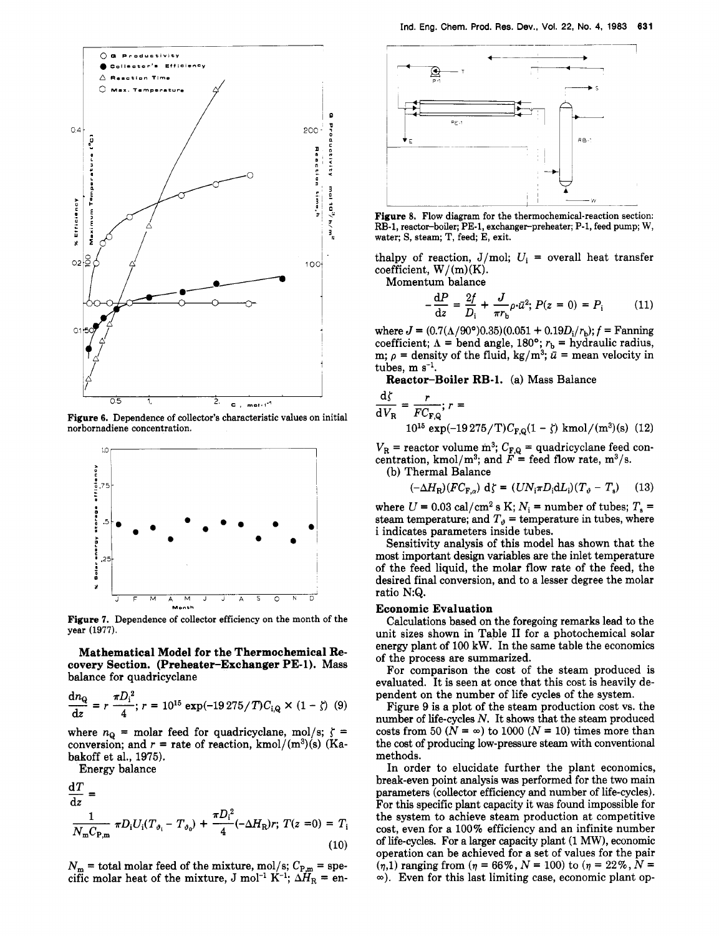

**Figure 6.** Dependence of collector's characteristic values on initial norbornadiene concentration.



**Figure 7.** Dependence of collector efficiency on the month of the year (1977).

**Mathematical Model for the Thermochemical Recovery Section. (Preheater-Exchanger PE-1).** Mass balance for quadricyclane

$$
\frac{dn_{\rm Q}}{dz} = r \frac{\pi D_{\rm i}^2}{4}; r = 10^{15} \exp(-19275/T)C_{\rm i,Q} \times (1 - \zeta) \tag{9}
$$

where  $n_{\Omega}$  = molar feed for quadricyclane, mol/s;  $\zeta$  = conversion; and  $r =$  rate of reaction, kmol/(m<sup>3</sup>)(s) (Kabakoff et al., 1975).

Energy balance

$$
\frac{dT}{dz} = \frac{1}{N_{\rm m}C_{\rm P,m}} \pi D_{\rm i} U_{\rm i} (T_{\vartheta_{\rm i}} - T_{\vartheta_{\rm 0}}) + \frac{\pi D_{\rm i}^2}{4} (-\Delta H_{\rm R}) r; \ T(z=0) = T_{\rm i}
$$
\n(10)

 $N_{\rm m}$  = total molar feed of the mixture, mol/s;  $C_{\rm P,m}$  = specific molar heat of the mixture, J mol<sup>-1</sup> K<sup>-1</sup>;  $\Delta H_R =$  en-



**Figure 8.** Flow diagram for the thermochemical-reaction section: RB-1, reactor-boiler; PE-1, exchanger-preheater; P-1, feed pump; W, water; S, steam; T, feed; E, exit.

thalpy of reaction,  $J/mol$ ;  $U_i$  = overall heat transfer coefficient,  $W/(m)(K)$ .

Momentum balance

$$
-\frac{dP}{dz} = \frac{2f}{D_i} + \frac{J}{\pi r_b} \rho \cdot \bar{u}^2; P(z = 0) = P_i \tag{11}
$$

where  $J = (0.7(\Lambda/90^{\circ})0.35)(0.051 + 0.19D_i/r_b)$ ;  $f =$  Fanning coefficient;  $\Lambda$  = bend angle, 180°;  $r_b$  = hydraulic radius, m;  $\rho$  = density of the fluid, kg/m<sup>3</sup>;  $\bar{u}$  = mean velocity in tubes, m s<sup>-1</sup>.<br> **Reactor-Boiler RB-1.** (a) Mass Balance<br>  $\frac{d\zeta}{dV_R} = \frac{r}{FC_{F,Q}}$ ;  $r =$ tubes,  $m s^{-1}$ .

**Reactor-Boiler RB-1.** (a) Mass Balance

$$
\frac{d\zeta}{dV_R} = \frac{r}{FC_{F,Q}}; r =
$$
  
10<sup>15</sup> exp(-19275/T)C<sub>F,Q</sub>(1 - \zeta) kmol/(m<sup>3</sup>)(s) (12)

 $V_{\rm R}$  = reactor volume m<sup>3</sup>;  $C_{\rm F,Q}$  = quadricyclane feed concentration, kmol/m<sup>3</sup>; and  $\vec{F}$  = feed flow rate, m<sup>3</sup>/s.

(b) Thermal Balance

$$
(-\Delta H_{\rm R})(FC_{\rm F,\alpha})\,\mathrm{d}\zeta = (UN_{\rm i}\pi D_{\rm i}\mathrm{d}L_{\rm i})(T_{\vartheta}-T_{\rm s})\qquad (13)
$$

where  $U = 0.03$  cal/cm<sup>2</sup> s K;  $N_i$  = number of tubes;  $T_s$  = steam temperature; and  $T_{\vartheta}$  = temperature in tubes, where i indicates parameters inside tubes.

Sensitivity analysis of this model has shown that the most important design variables are the inlet temperature of the feed liquid, the molar flow rate of the feed, the desired final conversion, and to a lesser degree the molar ratio N:Q.

#### **Economic Evaluation**

Calculations based on the foregoing remarks lead **to** the unit sizes shown in Table I1 for a photochemical solar energy plant of 100 kW. In the same table the economics of the process are summarized.

For comparison the cost of the steam produced is evaluated. It is seen at once that this cost is heavily dependent on the number of life cycles of the system.

Figure 9 is a plot of the steam production cost vs. the number of life-cycles *N.* It shows that the steam produced costs from 50  $(N = \infty)$  to 1000  $(N = 10)$  times more than the cost of producing low-pressure steam with conventional methods.

In order to elucidate further the plant economics, break-even point analysis was performed for the two main parameters (collector efficiency and number of life-cycles). For this specific plant capacity it was found impossible for the system to achieve steam production at competitive cost, even for a 100% efficiency and an infinite number of life-cycles. For a larger capacity plant (1 *MW),* economic operation can be achieved for a set of values for the pair  $(\eta,1)$  ranging from  $(\eta = 66\%, N = 100)$  to  $(\eta = 22\%, N = 100)$ m). Even **for** this last limiting case, economic plant op-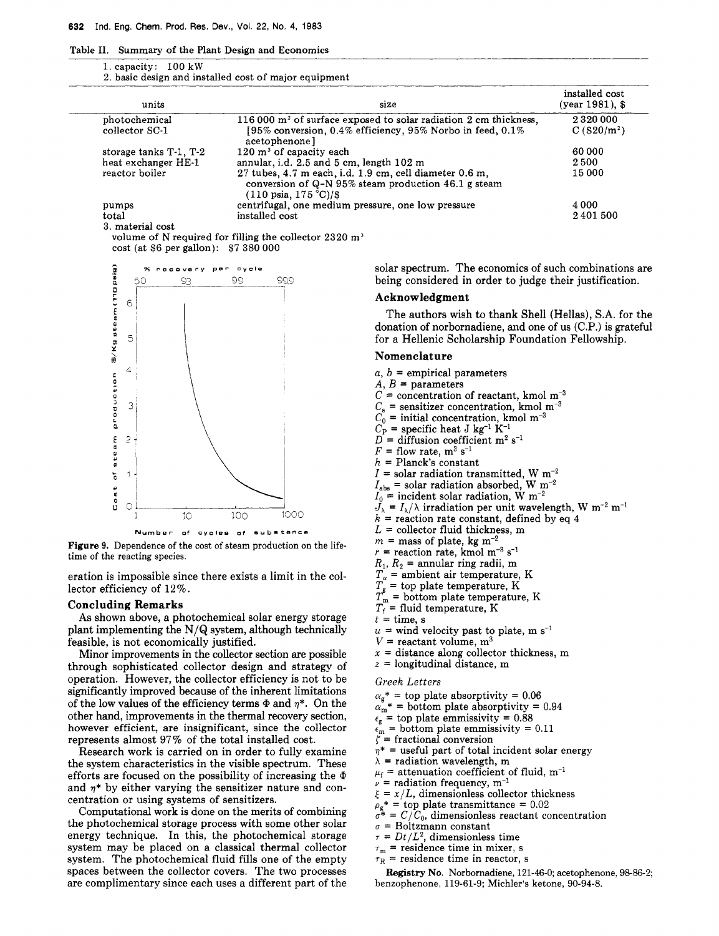Table **11.**  Summary of the Plant Design and Economics

| 1. capacity: $100 \text{ kW}$ |  |  |
|-------------------------------|--|--|
|                               |  |  |
|                               |  |  |

|                                 | 32 Ind. Eng. Chem. Prod. Res. Dev., Vol. 22, No. 4, 1983              |                                                                                                                                           |                                       |
|---------------------------------|-----------------------------------------------------------------------|-------------------------------------------------------------------------------------------------------------------------------------------|---------------------------------------|
|                                 | Table II. Summary of the Plant Design and Economics                   |                                                                                                                                           |                                       |
| 1. capacity: $100 \text{ kW}$   |                                                                       |                                                                                                                                           |                                       |
|                                 | 2. basic design and installed cost of major equipment                 |                                                                                                                                           |                                       |
| units                           |                                                                       | size                                                                                                                                      | installed cost<br>(year 1981), \$     |
| photochemical<br>collector SC-1 |                                                                       | 116 000 m <sup>2</sup> of surface exposed to solar radiation 2 cm thickness,<br>[95% conversion, 0.4% efficiency, 95% Norbo in feed, 0.1% | 2320000<br>$C($ \$20/m <sup>2</sup> ) |
| storage tanks T-1, T-2          | acetophenone]<br>$120 \text{ m}^3$ of capacity each                   |                                                                                                                                           | 60 000                                |
| heat exchanger HE-1             |                                                                       | annular, i.d. 2.5 and 5 cm, length 102 m<br>27 tubes, 4.7 m each, i.d. 1.9 cm, cell diameter 0.6 m,                                       | 2500                                  |
| reactor boiler                  |                                                                       | conversion of Q-N 95% steam production 46.1 g steam                                                                                       | 15 000                                |
| pumps                           | $(110 \text{ psia}, 175 \text{ }^{\circ}\text{C})/\$$                 |                                                                                                                                           | 4 0 0 0                               |
| total                           | centrifugal, one medium pressure, one low pressure<br>installed cost  |                                                                                                                                           | 2401500                               |
| 3. material cost                | volume of N required for filling the collector 2320 $\mathrm{m}^{_3}$ |                                                                                                                                           |                                       |
|                                 | cost (at \$6 per gallon): \$7 380 000                                 |                                                                                                                                           |                                       |
|                                 | % recovery per cycle                                                  | solar spectrum. The economics of such combinations are                                                                                    |                                       |
| -50<br>93                       | 99<br>-999                                                            | being considered in order to judge their justification.                                                                                   |                                       |
|                                 |                                                                       | Acknowledgment<br>The authors wish to thank Shell (Hellas), S.A. for the                                                                  |                                       |
|                                 |                                                                       | donation of norbornadiene, and one of us (C.P.) is grateful                                                                               |                                       |
|                                 |                                                                       | for a Hellenic Scholarship Foundation Fellowship.                                                                                         |                                       |
|                                 |                                                                       | Nomenclature                                                                                                                              |                                       |
|                                 |                                                                       | $a, b$ = empirical parameters<br>$A, B =$ parameters                                                                                      |                                       |
|                                 |                                                                       | $C =$ concentration of reactant, kmol m <sup>-3</sup>                                                                                     |                                       |



**Figure 9.** Dependence of the cost of steam production on the lifetime of the reacting species.

eration is impossible since there exists a limit in the collector efficiency of 12%.

#### Concluding Remarks

**As** shown above, a photochemical solar energy storage plant implementing the N/Q system, although technically feasible, is not economically justified.

Minor improvements in the collector section are possible through sophisticated collector design and strategy of operation. However, the collector efficiency is not to be significantly improved because of the inherent limitations of the low values of the efficiency terms  $\Phi$  and  $n^*$ . On the other hand, improvements in the thermal recovery section, however efficient, are insignificant, since the collector represents almost 97% of the total installed cost.

Research work is carried on in order to fully examine the system characteristics in the visible spectrum. These efforts are focused on the possibility of increasing the  $\Phi$ and  $\eta^*$  by either varying the sensitizer nature and concentration or using systems of sensitizers.

Computational work is done on the merits of combining the photochemical storage process with some other solar energy technique. In this, the photochemical storage system may be placed on a classical thermal collector system. The photochemical fluid fills one of the empty spaces between the collector covers. The two processes are complimentary since each uses a different part of the

#### Acknowledgment

# Nomenclature

- $a, b$  = empirical parameters
- $\overline{A}$ ,  $\overline{B}$  = parameters
- $C =$  concentration of reactant, kmol m<sup>-3</sup>
- $C_s$  = sensitizer concentration, kmol m<sup>-3</sup>
- $C_0$  = initial concentration, kmol m<sup>-3</sup>
- $C_P^{\check{}}$  = specific heat J kg<sup>-1</sup> K<sup>-1</sup>
- $D =$  diffusion coefficient m<sup>2</sup> s<sup>-1</sup>
- $F =$  flow rate, m<sup>3</sup> s<sup>-1</sup>
- *h* = Planck's constant
- $I =$  solar radiation transmitted, W m<sup>-2</sup>
- $I_{\text{abs}}$  = solar radiation absorbed, W m<sup>-2</sup>
- $I_0$  = incident solar radiation, W m<sup>-2</sup>
- $J_{\lambda} = I_{\lambda}/\lambda$  irradiation per unit wavelength, W m<sup>-2</sup> m<sup>-1</sup>
- $k =$  reaction rate constant, defined by eq 4
- $L =$  collector fluid thickness, m
- $m =$  mass of plate, kg m<sup>-2</sup>
- $r =$  reaction rate, kmol m<sup>-3</sup> s<sup>-1</sup>
- $R_1, R_2$  = annular ring radii, m
- $T_{\alpha}$  = ambient air temperature, K
- 
- $T_g^{\tilde{}}$  = top plate temperature, K  $T_m^{\tilde{}}$  = bottom plate temperature, K
- $T_f$  = fluid temperature, K
- $t =$  time, s
- $u =$  wind velocity past to plate, m s<sup>-1</sup>
- $V =$  reactant volume,  $m<sup>3</sup>$
- $x =$  distance along collector thickness, m
- *<sup>z</sup>*= longitudinal distance, m
- *Greek Letters*
- $\alpha_{\rm g}^*$  = top plate absorptivity = 0.06
- $\alpha_m^*$  = bottom plate absorptivity = 0.94
- $\epsilon_{g}$  = top plate emmissivity = 0.88
- $\epsilon_m^*$  = bottom plate emmissivity =  $0.11$
- $\zeta$  = fractional conversion
- $\eta^*$  = useful part of total incident solar energy
- $\lambda$  = radiation wavelength, m
- $\mu_f$  = attenuation coefficient of fluid, m<sup>-1</sup>
- $\nu$  = radiation frequency, m<sup>-1</sup>
- $\xi = x/L$ , dimensionless collector thickness
- $\rho_{g}^*$  = top plate transmittance = 0.02
- $\sigma^* = C/C_0$ , dimensionless reactant concentration
- $\sigma$  = Boltzmann constant
- $\tau = Dt/L^2$ , dimensionless time
- $\tau_m$  = residence time in mixer, **s**
- $\overline{\tau_R}$  = residence time in reactor, s

benzophenone, **119-61-9;** Michler's ketone, **90-94-8.**  Registry **No.** Norbomadiene, **121-46-0;** acetophenone, **98-86-2;**